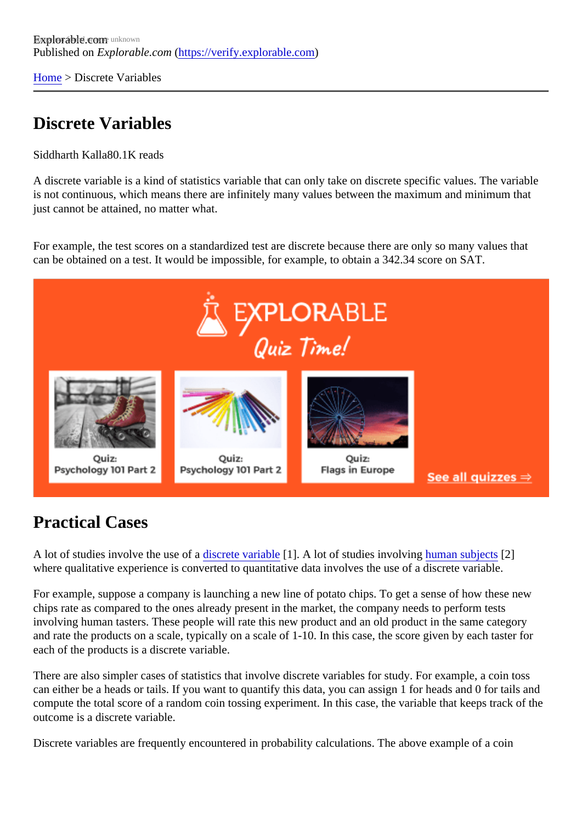[Home](https://verify.explorable.com/) > Discrete Variables

## Discrete Variables

Siddharth Kall<sup>80.1</sup>K reads

A discrete variable is a kind of statistics variable that can only take on discrete specific values. The variable is not continuous, which means there are infinitely many values between the maximum and minimum that just cannot be attained, no matter what.

For example, the test scores on a standardized test are discrete because there are only so many values that can be obtained on a test. It would be impossible, for example, to obtain a 342.34 score on SAT.

## Practical Cases

A lot of studies involve the use of **discrete variable** [1]. A lot of studies involvin[g human subjec](https://verify.explorable.com/social-science-subjects)t<sup>[2]</sup> where qualitative experience is converted to quantitative data involves the use of a discrete variable.

For example, suppose a company is launching a new line of potato chips. To get a sense of how these ne chips rate as compared to the ones already present in the market, the company needs to perform tests involving human tasters. These people will rate this new product and an old product in the same category and rate the products on a scale, typically on a scale of 1-10. In this case, the score given by each taster f each of the products is a discrete variable.

There are also simpler cases of statistics that involve discrete variables for study. For example, a coin toss can either be a heads or tails. If you want to quantify this data, you can assign 1 for heads and 0 for tails a compute the total score of a random coin tossing experiment. In this case, the variable that keeps track of outcome is a discrete variable.

Discrete variables are frequently encountered in probability calculations. The above example of a coin